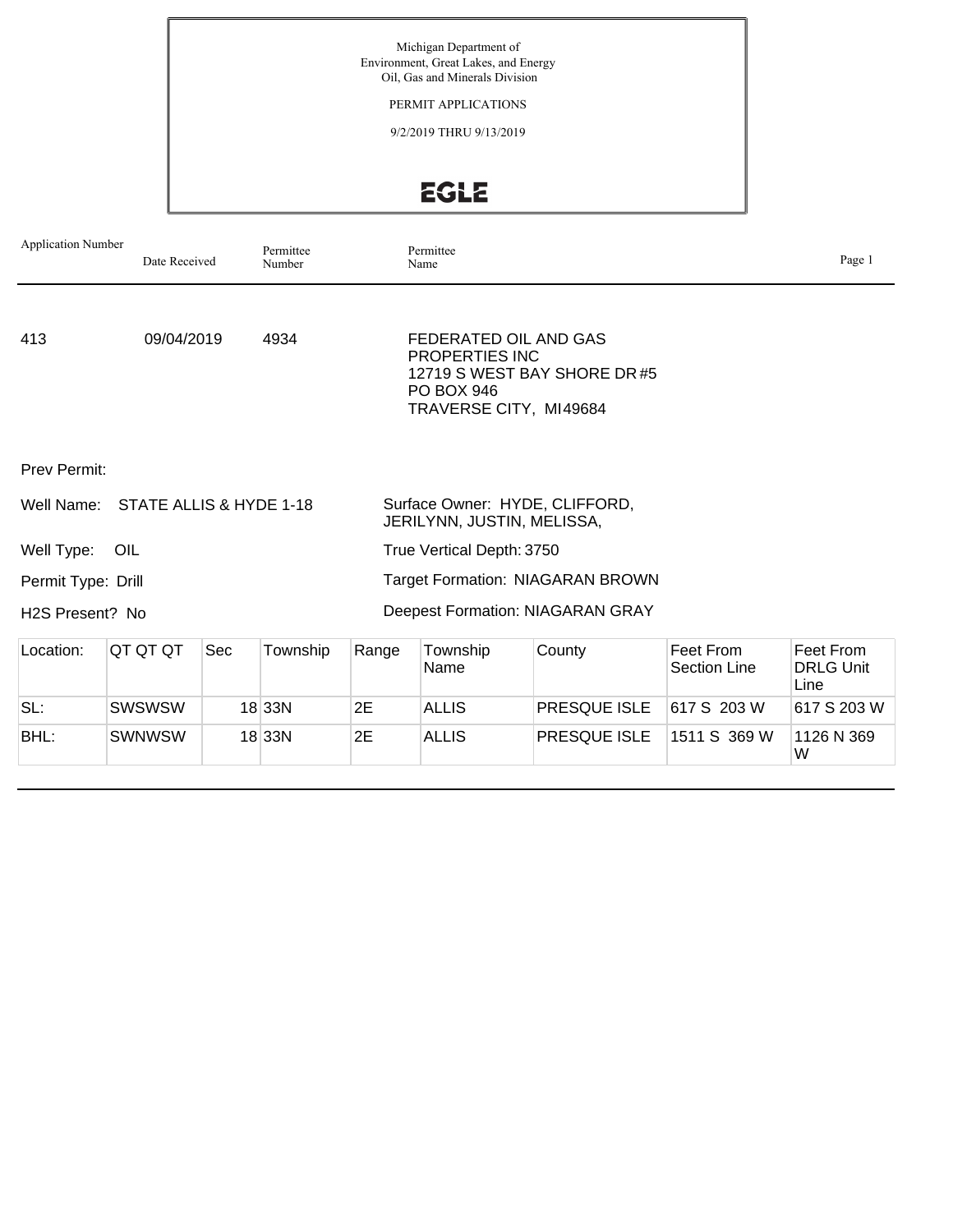Michigan Department of Environment, Great Lakes, and Energy Oil, Gas and Minerals Division

PERMIT APPLICATIONS

9/2/2019 THRU 9/13/2019

EGLE

| <b>Application Number</b>    | Date Received                      |     | Permittee<br>Number |       | Permittee<br>Name                                                                             |                                         |                                  | Page 1                                |
|------------------------------|------------------------------------|-----|---------------------|-------|-----------------------------------------------------------------------------------------------|-----------------------------------------|----------------------------------|---------------------------------------|
| 413                          | 09/04/2019                         |     | 4934                |       | FEDERATED OIL AND GAS<br><b>PROPERTIES INC</b><br><b>PO BOX 946</b><br>TRAVERSE CITY, MI49684 | 12719 S WEST BAY SHORE DR#5             |                                  |                                       |
| <b>Prev Permit:</b>          |                                    |     |                     |       |                                                                                               |                                         |                                  |                                       |
|                              | Well Name: STATE ALLIS & HYDE 1-18 |     |                     |       | JERILYNN, JUSTIN, MELISSA,                                                                    | Surface Owner: HYDE, CLIFFORD,          |                                  |                                       |
| Well Type:                   | OIL                                |     |                     |       | True Vertical Depth: 3750                                                                     |                                         |                                  |                                       |
| Permit Type: Drill           |                                    |     |                     |       |                                                                                               | <b>Target Formation: NIAGARAN BROWN</b> |                                  |                                       |
| H <sub>2</sub> S Present? No |                                    |     |                     |       |                                                                                               | Deepest Formation: NIAGARAN GRAY        |                                  |                                       |
| Location:                    | QT QT QT                           | Sec | Township            | Range | Township<br>Name                                                                              | County                                  | Feet From<br><b>Section Line</b> | Feet From<br><b>DRLG Unit</b><br>Line |
| SL:                          | <b>SWSWSW</b>                      |     | $18$ 33N            | 2E    | <b>ALLIS</b>                                                                                  | <b>PRESQUE ISLE</b>                     | 617 S 203 W                      | 617 S 203 W                           |
| BHL:                         | <b>SWNWSW</b>                      |     | $18$ 33N            | 2E    | <b>ALLIS</b>                                                                                  | <b>PRESQUE ISLE</b>                     | 1511 S 369 W                     | 1126 N 369<br>W                       |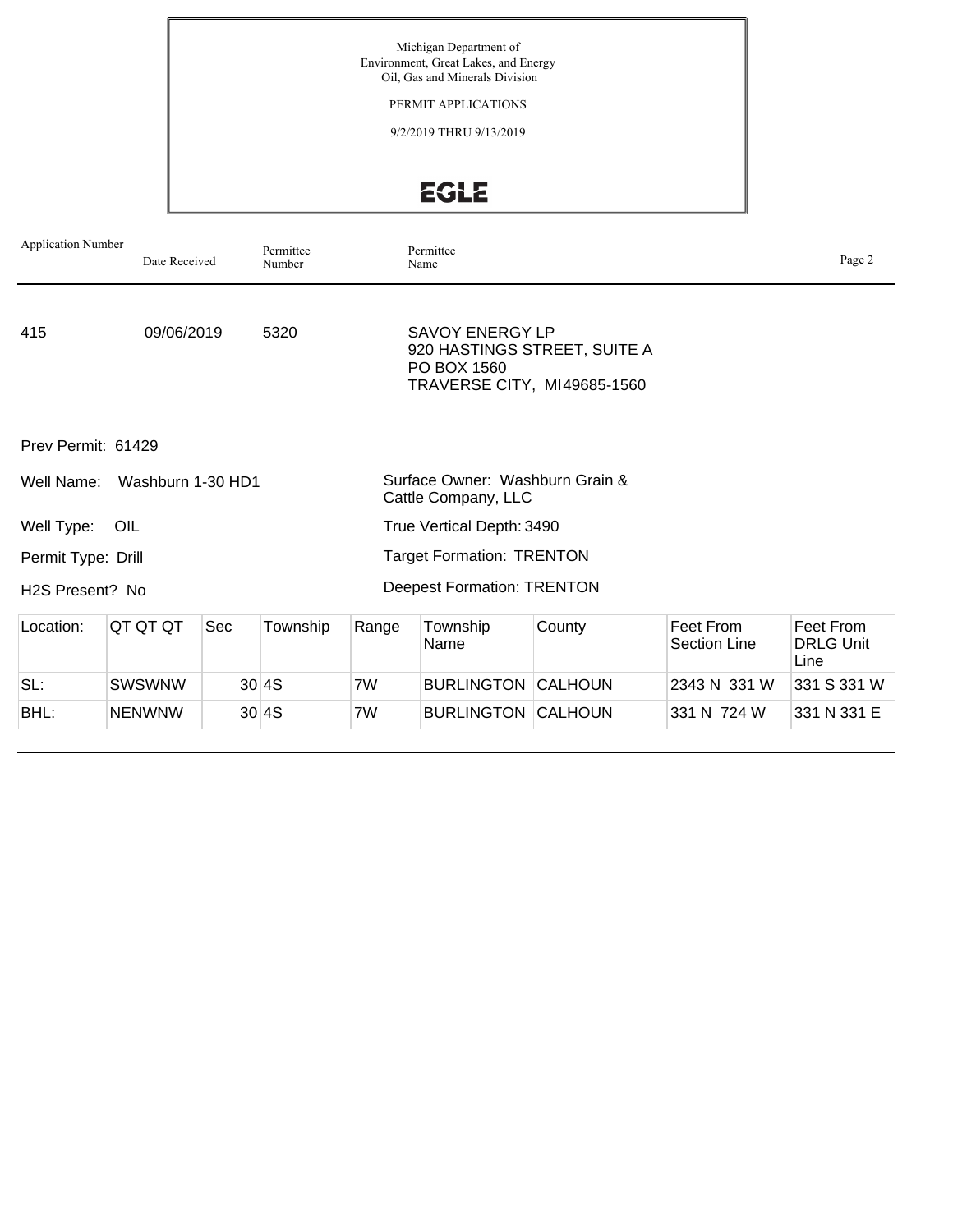Michigan Department of Environment, Great Lakes, and Energy Oil, Gas and Minerals Division

PERMIT APPLICATIONS

9/2/2019 THRU 9/13/2019

EGLE

| <b>Application Number</b>    | Date Received     |     | Permittee<br>Number |                                                        | Permittee<br>Name                                                    |                              |                                  | Page 2                                |
|------------------------------|-------------------|-----|---------------------|--------------------------------------------------------|----------------------------------------------------------------------|------------------------------|----------------------------------|---------------------------------------|
| 415                          | 09/06/2019        |     | 5320                |                                                        | <b>SAVOY ENERGY LP</b><br>PO BOX 1560<br>TRAVERSE CITY, MI49685-1560 | 920 HASTINGS STREET, SUITE A |                                  |                                       |
| Prev Permit: 61429           |                   |     |                     |                                                        |                                                                      |                              |                                  |                                       |
| Well Name:                   | Washburn 1-30 HD1 |     |                     | Surface Owner: Washburn Grain &<br>Cattle Company, LLC |                                                                      |                              |                                  |                                       |
| Well Type:                   | OIL               |     |                     | True Vertical Depth: 3490                              |                                                                      |                              |                                  |                                       |
| Permit Type: Drill           |                   |     |                     | <b>Target Formation: TRENTON</b>                       |                                                                      |                              |                                  |                                       |
| H <sub>2</sub> S Present? No |                   |     |                     |                                                        | <b>Deepest Formation: TRENTON</b>                                    |                              |                                  |                                       |
| Location:                    | QT QT QT          | Sec | Township            | Range                                                  | Township<br>Name                                                     | County                       | Feet From<br><b>Section Line</b> | Feet From<br><b>DRLG Unit</b><br>Line |
| SL:                          | <b>SWSWNW</b>     |     | 30 4S               | 7W                                                     | <b>BURLINGTON</b>                                                    | CALHOUN                      | 2343 N 331 W                     | 331 S 331 W                           |
| BHL:                         | <b>NENWNW</b>     |     | 30 4S               | 7W                                                     | <b>BURLINGTON CALHOUN</b>                                            |                              | 331 N 724 W                      | 331 N 331 E                           |
|                              |                   |     |                     |                                                        |                                                                      |                              |                                  |                                       |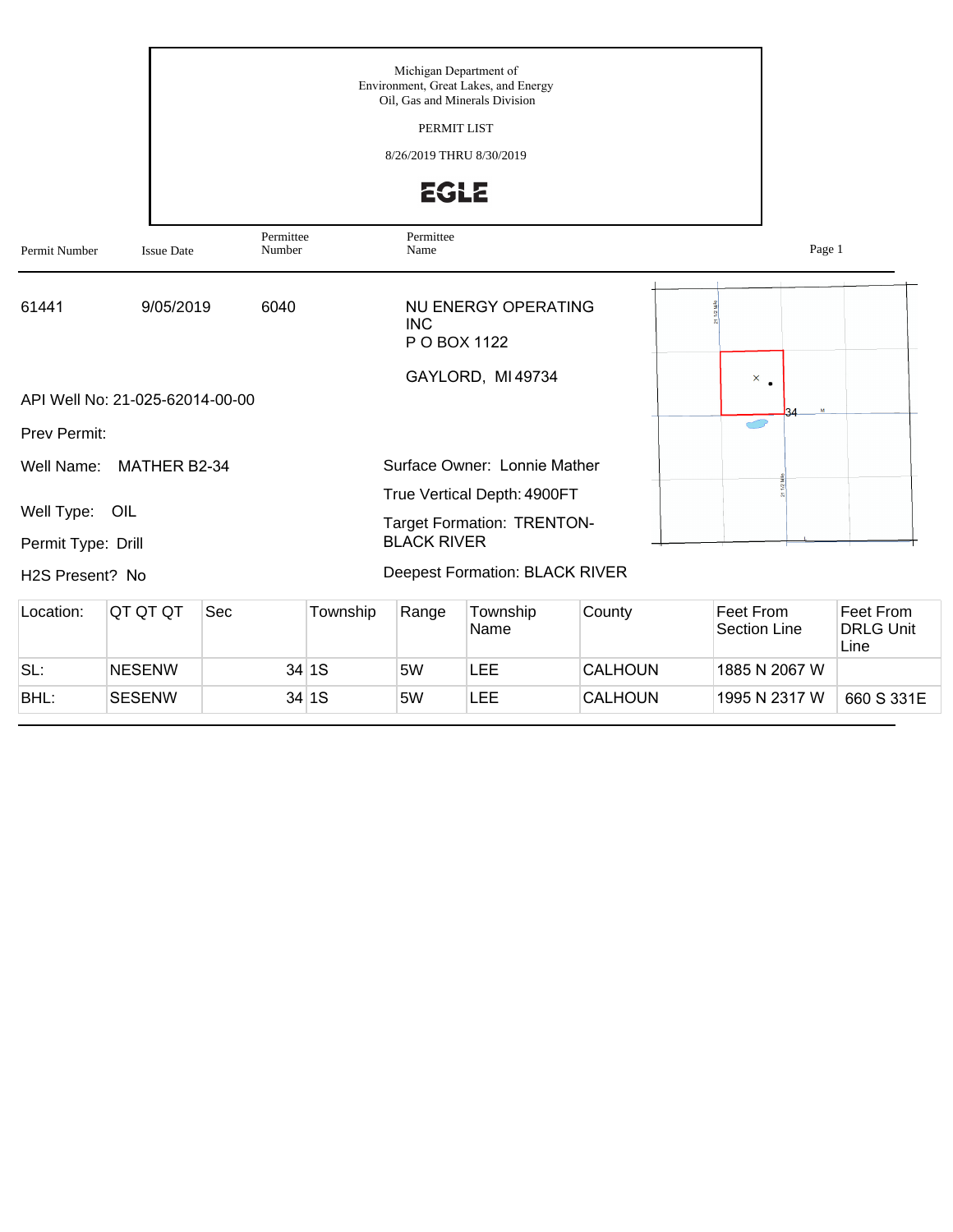|                                      |                                 |                     |          | Michigan Department of<br>PERMIT LIST<br>8/26/2019 THRU 8/30/2019<br><b>EGLE</b> | Environment, Great Lakes, and Energy<br>Oil, Gas and Minerals Division |                |                                  |                                       |
|--------------------------------------|---------------------------------|---------------------|----------|----------------------------------------------------------------------------------|------------------------------------------------------------------------|----------------|----------------------------------|---------------------------------------|
| Permit Number                        | <b>Issue Date</b>               | Permittee<br>Number |          | Permittee<br>Name                                                                |                                                                        |                | Page 1                           |                                       |
| 61441                                | 9/05/2019                       | 6040                |          | <b>INC</b><br>P O BOX 1122                                                       | <b>NU ENERGY OPERATING</b>                                             |                |                                  |                                       |
|                                      | API Well No: 21-025-62014-00-00 |                     |          |                                                                                  | GAYLORD, MI 49734                                                      |                | $\times$ .<br>$\mathbf{a}$       |                                       |
| Prev Permit:                         |                                 |                     |          |                                                                                  |                                                                        |                |                                  |                                       |
| Well Name:                           | MATHER B2-34                    |                     |          |                                                                                  | Surface Owner: Lonnie Mather                                           |                |                                  |                                       |
| Well Type: OIL<br>Permit Type: Drill |                                 |                     |          | <b>BLACK RIVER</b>                                                               | True Vertical Depth: 4900FT<br><b>Target Formation: TRENTON-</b>       |                |                                  |                                       |
| H2S Present? No                      |                                 |                     |          |                                                                                  | <b>Deepest Formation: BLACK RIVER</b>                                  |                |                                  |                                       |
| Location:                            | QT QT QT                        | Sec                 | Township | Range                                                                            | Township<br>Name                                                       | County         | Feet From<br><b>Section Line</b> | Feet From<br><b>DRLG Unit</b><br>Line |
| SL:                                  | <b>NESENW</b>                   |                     | 34 1S    | 5W                                                                               | <b>LEE</b>                                                             | CALHOUN        | 1885 N 2067 W                    |                                       |
| BHL:                                 | <b>SESENW</b>                   |                     | 34 1S    | 5W                                                                               | <b>LEE</b>                                                             | <b>CALHOUN</b> | 1995 N 2317 W                    | 660 S 331E                            |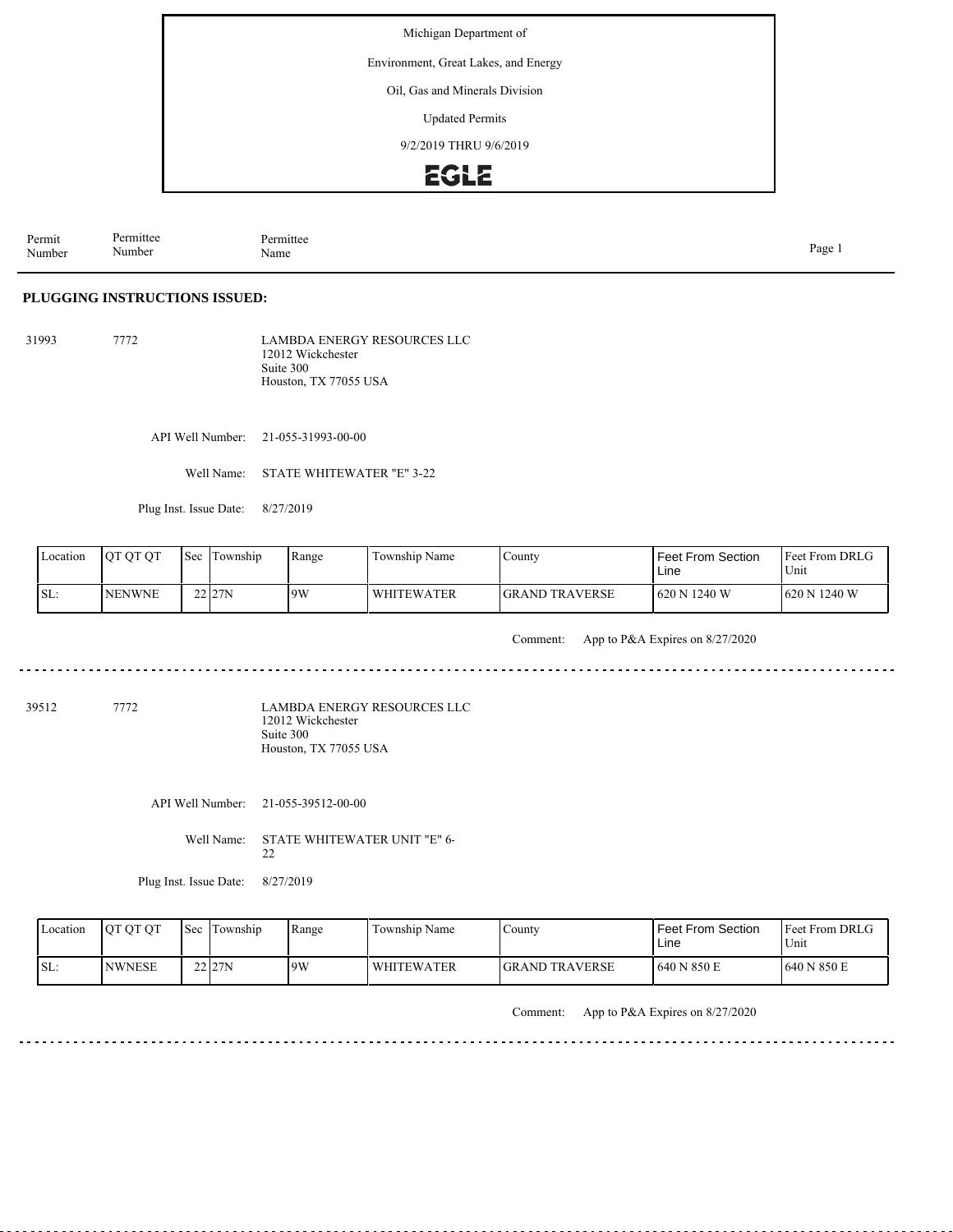Environment, Great Lakes, and Energy

Oil, Gas and Minerals Division

Updated Permits

9/2/2019 THRU 9/6/2019

### **EGLE**

Permit Number Permittee Number Permittee<br>Name Name Page 1

#### **PLUGGING INSTRUCTIONS ISSUED:**

31993 7772 LAMBDA ENERGY RESOURCES LLC 12012 Wickchester Suite 300 Houston, TX 77055 USA

API Well Number: 21-055-31993-00-00

Well Name: STATE WHITEWATER "E" 3-22

Plug Inst. Issue Date: 8/27/2019

| Location | <b>IOTOTOT</b> | 'Sec | Township | Range | Township Name | County                | <b>Feet From Section</b><br>Line | <b>Feet From DRLG</b><br>Unit |
|----------|----------------|------|----------|-------|---------------|-----------------------|----------------------------------|-------------------------------|
| ISL:     | <b>NENWNE</b>  |      | 22 27N   | 9W    | l WHITEWATER  | <b>GRAND TRAVERSE</b> | 1620 N 1240 W                    | 620 N 1240 W                  |

Comment: App to P&A Expires on 8/27/2020

39512 7772

LAMBDA ENERGY RESOURCES LLC 12012 Wickchester Suite 300 Houston, TX 77055 USA

API Well Number: 21-055-39512-00-00

Well Name: STATE WHITEWATER UNIT "E" 6- 22

Plug Inst. Issue Date: 8/27/2019

Feet From DRLG Unit 640 N 850 E 640 N 850 E Feet From Section Line County GRAND TRAVERSE Location QT QT QT Sec Township Range Township Name SL: NWNESE Township 22 27N 9W WHITEWATER

Comment: App to P&A Expires on 8/27/2020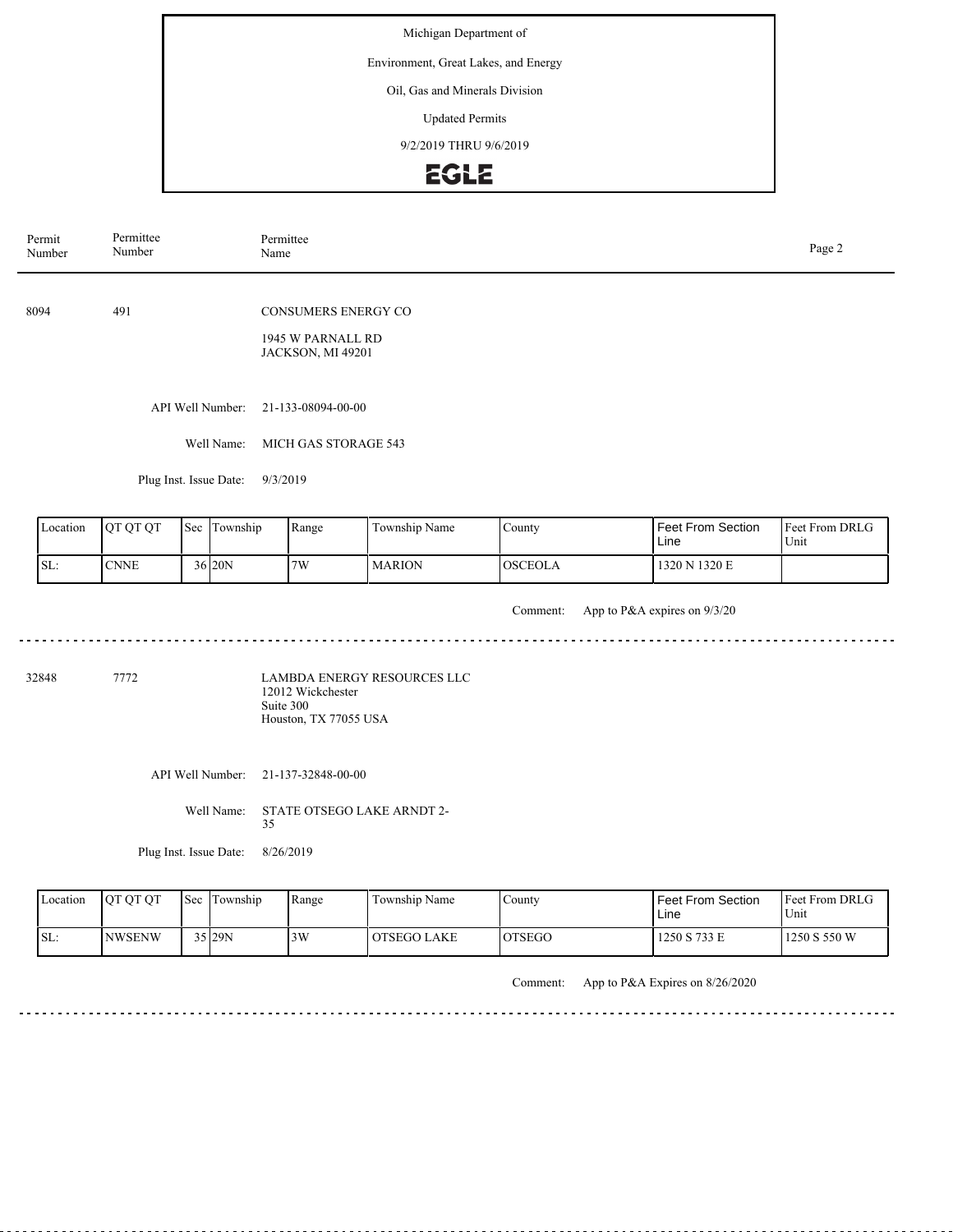#### Environment, Great Lakes, and Energy

#### Oil, Gas and Minerals Division

Updated Permits

9/2/2019 THRU 9/6/2019

### EGLE

| Permit<br>Number | Permittee<br>Number    | Permittee<br>Name                                                           | Page 2 |
|------------------|------------------------|-----------------------------------------------------------------------------|--------|
| 8094             | 491                    | <b>CONSUMERS ENERGY CO</b><br>1945 W PARNALL RD<br><b>JACKSON, MI 49201</b> |        |
|                  | API Well Number:       | 21-133-08094-00-00                                                          |        |
|                  | Well Name:             | MICH GAS STORAGE 543                                                        |        |
|                  | Plug Inst. Issue Date: | 9/3/2019                                                                    |        |
|                  |                        |                                                                             |        |

| I Location | <b>OT OT OT</b> | l Sec | Township | Range | Township Name | $\mathcal{L}$ ounty | Feet From Section<br>Line | <b>Feet From DRLG</b><br>Unit |
|------------|-----------------|-------|----------|-------|---------------|---------------------|---------------------------|-------------------------------|
| SL:        | <b>CNNE</b>     |       | 36 20N   | 7W    | <b>MARION</b> | <b>OSCEOLA</b>      | 1320 N 1320 E             |                               |

Comment: App to P&A expires on 9/3/20

<u>. . . . . . . .</u>

32848 7772

LAMBDA ENERGY RESOURCES LLC 12012 Wickchester Suite 300 Houston, TX 77055 USA

API Well Number: 21-137-32848-00-00

Well Name: STATE OTSEGO LAKE ARNDT 2- 35

Plug Inst. Issue Date: 8/26/2019

|      | Location | <b>OT OT OT</b> | Sec Township | Range | Township Name | County         | <b>Feet From Section</b><br>Line | <b>Feet From DRLG</b><br>Unit |
|------|----------|-----------------|--------------|-------|---------------|----------------|----------------------------------|-------------------------------|
| ISL: |          | <b>INWSENW</b>  | 35 29N       | 3W    | OTSEGO LAKE   | <b>IOTSEGO</b> | 1250 S 733 E                     | 1250 S 550 W                  |

Comment: App to P&A Expires on 8/26/2020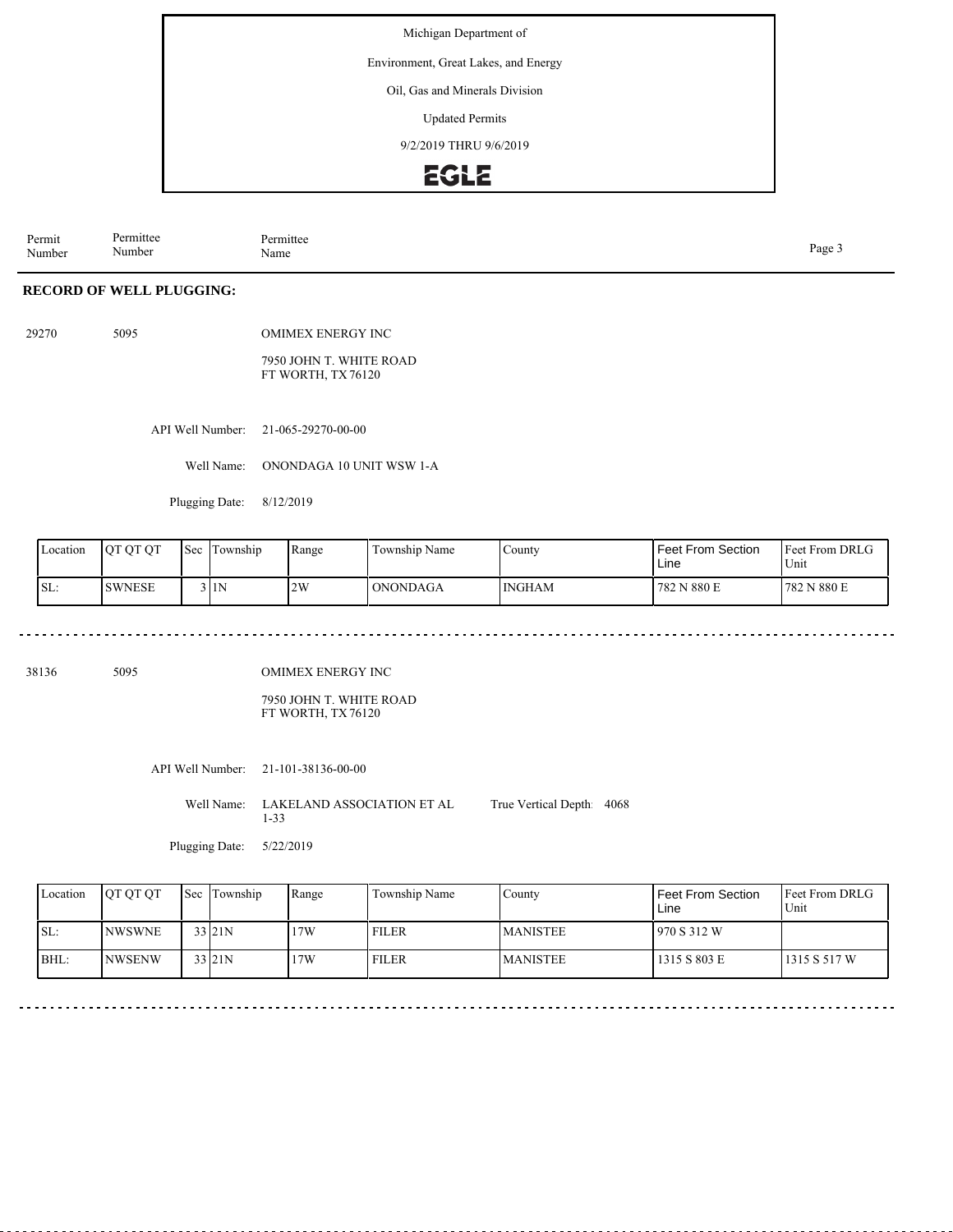Environment, Great Lakes, and Energy

Oil, Gas and Minerals Division

Updated Permits

9/2/2019 THRU 9/6/2019

### EGLE

Permit Number Permittee Number Permittee<br>Name Page 3<br>Name

### **RECORD OF WELL PLUGGING:**

| 29270 | 5095 | <b>OMIMEX ENERGY INC.</b>                    |
|-------|------|----------------------------------------------|
|       |      | 7950 JOHN T. WHITE ROAD<br>FT WORTH, TX76120 |

API Well Number: 21-065-29270-00-00

Well Name: ONONDAGA 10 UNIT WSW 1-A

Plugging Date: 8/12/2019

| Location | <b>OT OT OT</b> | Sec | Township | Range | Township Name | $\text{Country}$ | l Feet From Section.<br>Line | <b>Feet From DRLG</b><br>Unit |
|----------|-----------------|-----|----------|-------|---------------|------------------|------------------------------|-------------------------------|
| SL:      | <b>SWNESE</b>   |     | 3 I 1 N  | 2W    | ONONDAGA      | <b>INGHAM</b>    | 782 N 880 E                  | N 880 E<br>782                |

38136 5095

OMIMEX ENERGY INC

7950 JOHN T. WHITE ROAD FT WORTH, TX 76120

API Well Number: 21-101-38136-00-00

Well Name: LAKELAND ASSOCIATION ET AL 1-33 True Vertical Depth: 4068

Plugging Date: 5/22/2019

| Location | <b>IOT OT OT</b> | Sec Township | Range | Township Name | County           | Feet From Section<br>Line | <b>IFeet From DRLG</b><br>Unit |
|----------|------------------|--------------|-------|---------------|------------------|---------------------------|--------------------------------|
| ISL:     | <b>INWSWNE</b>   | 33 21N       | 17W   | <b>FILER</b>  | <b>IMANISTEE</b> | 1970 S 312 W              |                                |
| BHL:     | <b>INWSENW</b>   | 33 21N       | 17W   | <b>FILER</b>  | <b>MANISTEE</b>  | 1315 S 803 E              | 1315 S 517 W                   |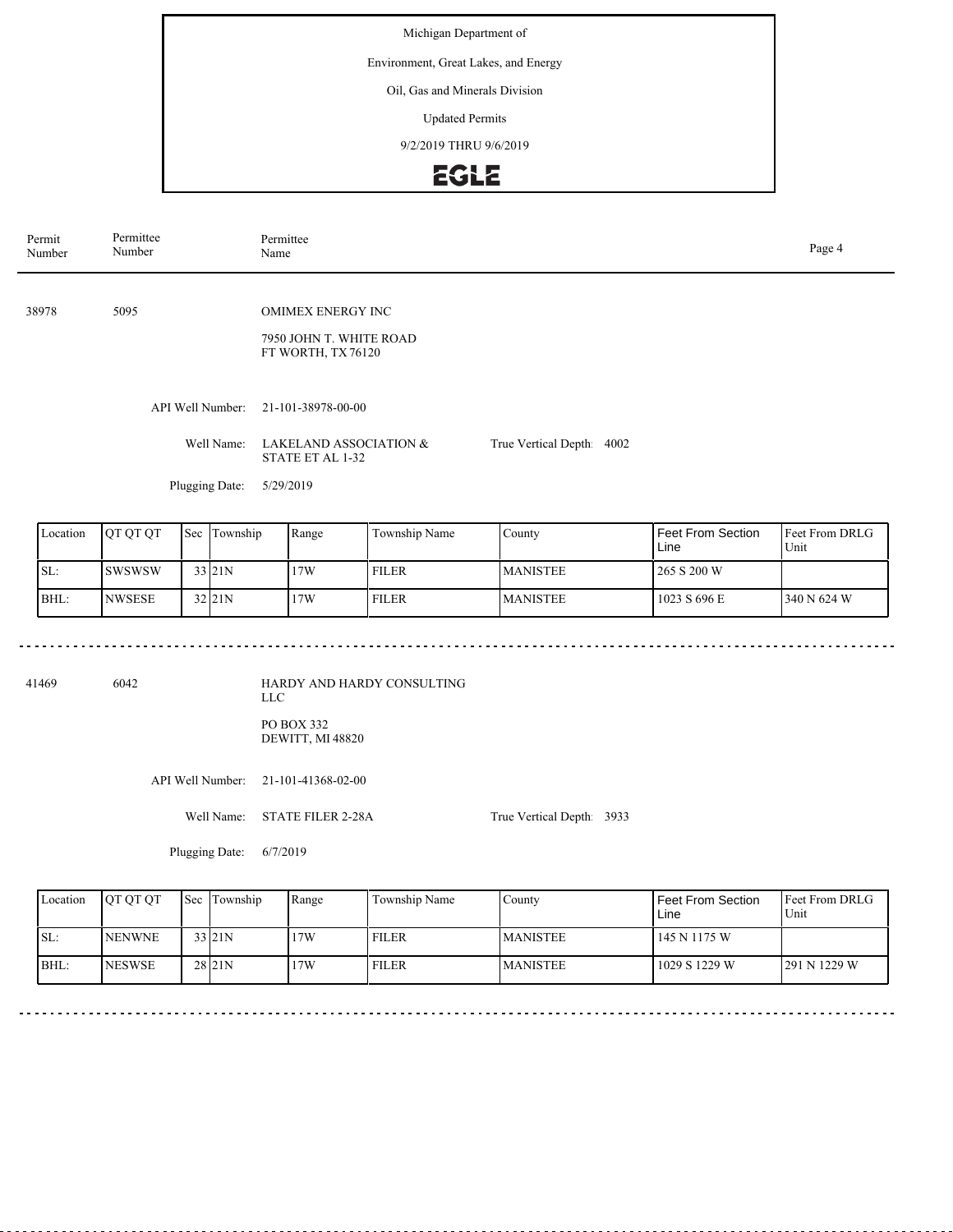Environment, Great Lakes, and Energy

Oil, Gas and Minerals Division

Updated Permits

9/2/2019 THRU 9/6/2019

# **EGLE**

| Permit<br>Number | Permittee<br>Number | Permittee<br>Name                                                        |                          |  |  |  |  |  |
|------------------|---------------------|--------------------------------------------------------------------------|--------------------------|--|--|--|--|--|
| 38978            | 5095                | <b>OMIMEX ENERGY INC</b><br>7950 JOHN T. WHITE ROAD<br>FT WORTH, TX76120 |                          |  |  |  |  |  |
|                  | API Well Number:    | 21-101-38978-00-00                                                       |                          |  |  |  |  |  |
|                  | Well Name:          | LAKELAND ASSOCIATION &<br>STATE ET AL 1-32                               | True Vertical Depth 4002 |  |  |  |  |  |
|                  | Plugging Date:      | 5/29/2019                                                                |                          |  |  |  |  |  |

| Location | <b>IOT OT OT</b> | Sec | Township          | Range | Township Name | County          | <b>Feet From Section</b><br>Line | <b>IFeet From DRLG</b><br>Unit |
|----------|------------------|-----|-------------------|-------|---------------|-----------------|----------------------------------|--------------------------------|
| SL:      | <b>SWSWSW</b>    |     | 33 21N            | 17W   | <b>FILER</b>  | <b>MANISTEE</b> | 265 S 200 W                      |                                |
| BHL:     | <b>NWSESE</b>    |     | 32 <sub>21N</sub> | 17W   | <b>FILER</b>  | <b>MANISTEE</b> | 1023 S 696 E                     | 340 N 624 W                    |

41469 6042

HARDY AND HARDY CONSULTING LLC PO BOX 332 DEWITT, MI 48820

API Well Number: 21-101-41368-02-00

Well Name: STATE FILER 2-28A

True Vertical Depth: 3933

Plugging Date: 6/7/2019

| Location | <b>IOT OT OT</b> | <b>Sec</b> Township | Range | Township Name | County          | Feet From Section<br>Line | <b>IFeet From DRLG</b><br>Unit |
|----------|------------------|---------------------|-------|---------------|-----------------|---------------------------|--------------------------------|
| ISL:     | <b>INENWNE</b>   | 33 21N              | 17W   | <b>FILER</b>  | <b>MANISTEE</b> | 145 N 1175 W              |                                |
| BHL:     | <b>NESWSE</b>    | 28 <sub>21N</sub>   | 17W   | <b>FILER</b>  | <b>MANISTEE</b> | 1029 S 1229 W             | 291 N 1229 W                   |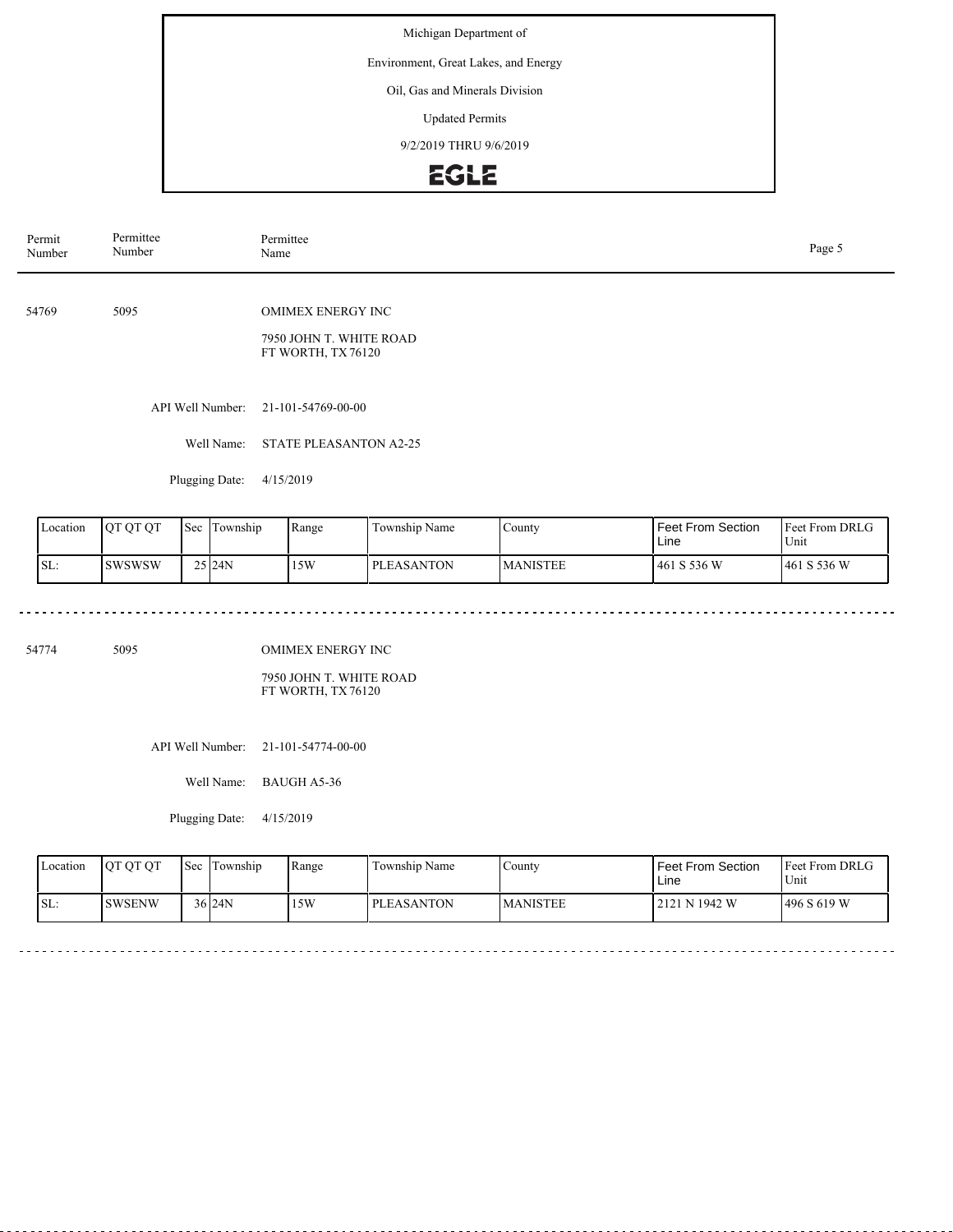Environment, Great Lakes, and Energy

Oil, Gas and Minerals Division

Updated Permits

9/2/2019 THRU 9/6/2019

# EGLE

| Permit<br>Number | Permittee<br>Number | Permittee<br>Page 5<br>Name                                              |  |  |  |  |
|------------------|---------------------|--------------------------------------------------------------------------|--|--|--|--|
| 54769            | 5095                | <b>OMIMEX ENERGY INC</b><br>7950 JOHN T. WHITE ROAD<br>FT WORTH, TX76120 |  |  |  |  |
|                  | API Well Number:    | 21-101-54769-00-00                                                       |  |  |  |  |
|                  | Well Name:          | <b>STATE PLEASANTON A2-25</b>                                            |  |  |  |  |
|                  | Plugging Date:      | 4/15/2019                                                                |  |  |  |  |

| Location | <b>OT OT OT</b> | 'Sec | Township             | Range | Township Name     | County           | Feet From Section<br>Line | <b>Feet From DRLG</b><br>Unit |
|----------|-----------------|------|----------------------|-------|-------------------|------------------|---------------------------|-------------------------------|
| SL:      | <b>ISWSWSW</b>  |      | $25$ <sub>24</sub> N | 15W   | <b>PLEASANTON</b> | <b>IMANISTEE</b> | 461 S 536 W               | 461 S 536 W                   |

 $\sim$   $\sim$   $\sim$ 

54774 5095

OMIMEX ENERGY INC

7950 JOHN T. WHITE ROAD FT WORTH, TX 76120

API Well Number: 21-101-54774-00-00

Well Name: BAUGH A5-36

Plugging Date: 4/15/2019

<u>. . . . . . . . . . .</u>

| Location | <b>OT OT OT</b> | <b>Sec Township</b> | Range | Township Name     | County          | Feet From Section<br>Line | <b>Feet From DRLG</b><br>Unit |
|----------|-----------------|---------------------|-------|-------------------|-----------------|---------------------------|-------------------------------|
| SL:      | ISWSENW         | 36124N              | 5W    | <b>PLEASANTON</b> | <b>MANISTEE</b> | 12121 N 1942 W            | 1496 S 619 W                  |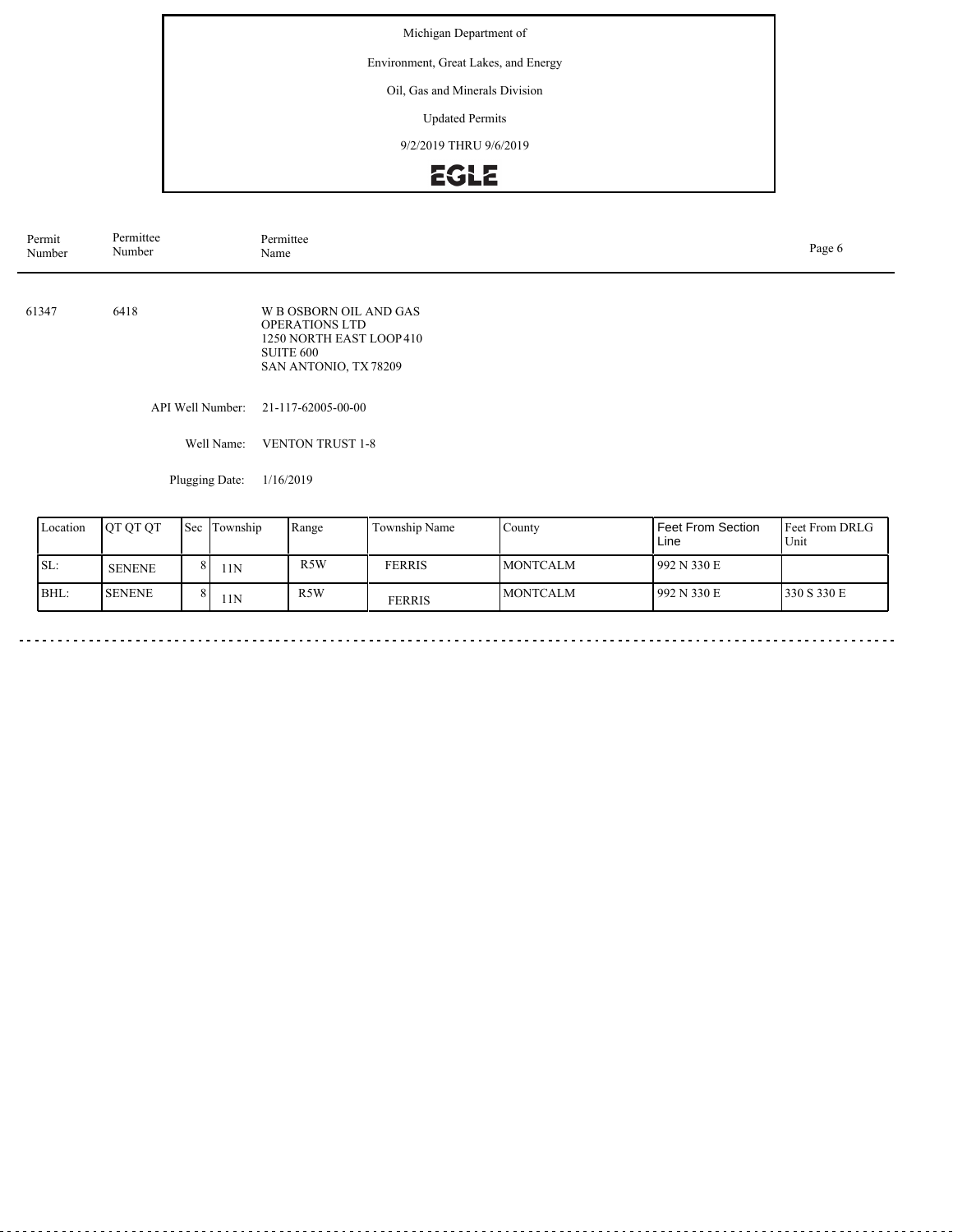### Environment, Great Lakes, and Energy

### Oil, Gas and Minerals Division

Updated Permits

9/2/2019 THRU 9/6/2019

# EGLE

| Permit<br>Number | Permittee<br>Number | Permittee<br>Page 6<br>Name                                                                                              |  |  |  |
|------------------|---------------------|--------------------------------------------------------------------------------------------------------------------------|--|--|--|
| 61347            | 6418                | <b>W B OSBORN OIL AND GAS</b><br><b>OPERATIONS LTD</b><br>1250 NORTH EAST LOOP 410<br>SUITE 600<br>SAN ANTONIO, TX 78209 |  |  |  |
|                  | API Well Number:    | 21-117-62005-00-00                                                                                                       |  |  |  |
|                  | Well Name:          | <b>VENTON TRUST 1-8</b>                                                                                                  |  |  |  |

Plugging Date: 1/16/2019

 $\sim$ 

| Location | IOT OT OT      | 'Sec | Township | Range            | Township Name | County           | Feet From Section<br>Line | <b>Feet From DRLG</b><br>Unit |
|----------|----------------|------|----------|------------------|---------------|------------------|---------------------------|-------------------------------|
| SL:      | <b>SENENE</b>  |      | 11N      | R5W              | <b>FERRIS</b> | <b>IMONTCALM</b> | 992 N 330 E               |                               |
| BHL:     | <b>ISENENE</b> |      | 11N      | R <sub>5</sub> W | FERRIS        | <b>MONTCALM</b>  | 992 N 330 E               | 330 S 330 E                   |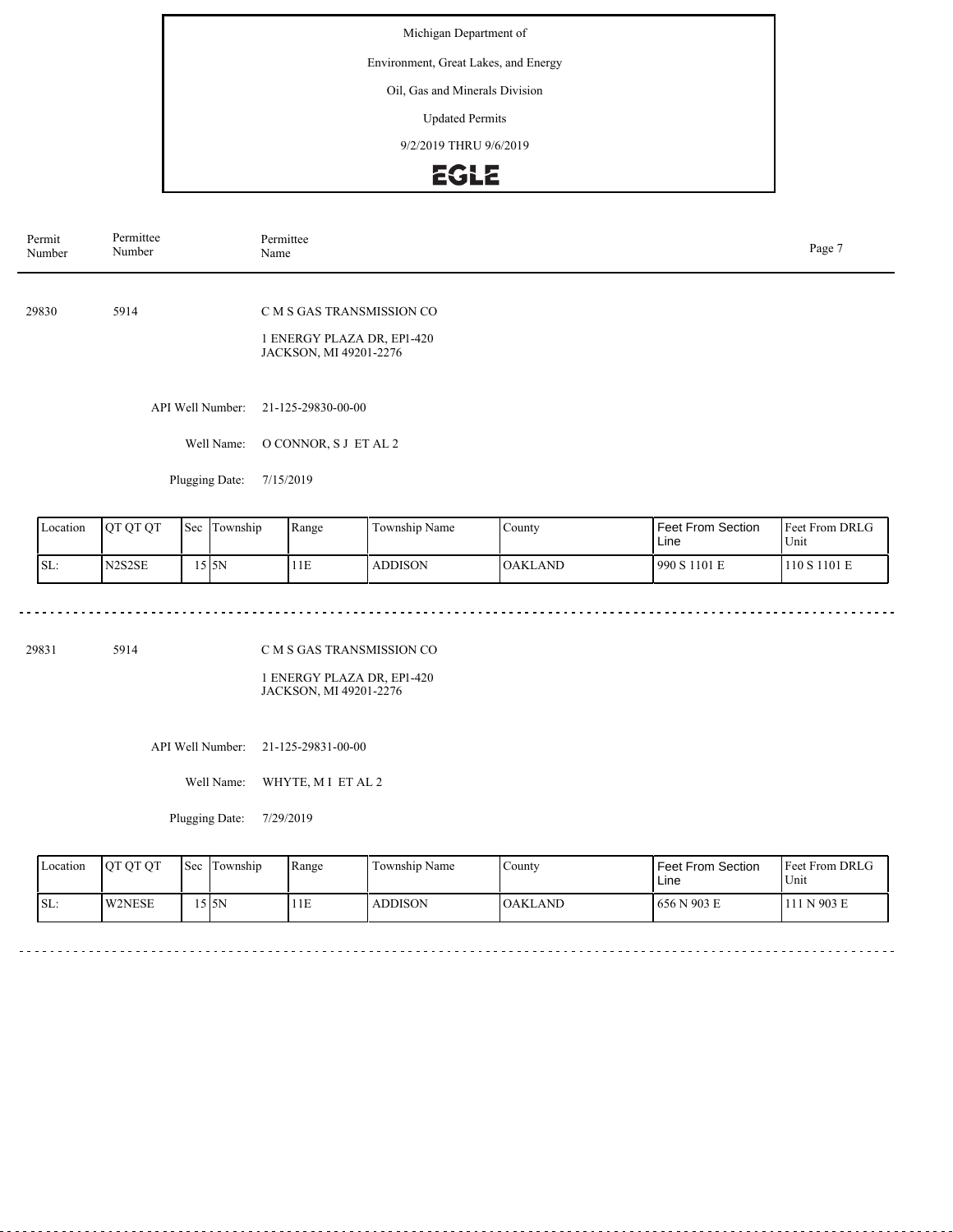Environment, Great Lakes, and Energy

Oil, Gas and Minerals Division

Updated Permits

9/2/2019 THRU 9/6/2019

### **EGLE**

| Permit<br>Number | Permittee<br>Number | Permittee<br>Page 7<br>Name                          |  |  |  |  |
|------------------|---------------------|------------------------------------------------------|--|--|--|--|
|                  |                     |                                                      |  |  |  |  |
| 29830            | 5914                | C M S GAS TRANSMISSION CO                            |  |  |  |  |
|                  |                     | 1 ENERGY PLAZA DR, EP1-420<br>JACKSON, MI 49201-2276 |  |  |  |  |
|                  |                     |                                                      |  |  |  |  |
|                  | API Well Number:    | 21-125-29830-00-00                                   |  |  |  |  |
|                  | Well Name:          | O CONNOR, S J ET AL 2                                |  |  |  |  |
|                  | Plugging Date:      | 7/15/2019                                            |  |  |  |  |

Feet From DRLG Unit 990 S 1101 E 110 S 1101 E Feet From Section Line County OAKLAND Location | QT QT QT | Sec | Township | Range | Township Name SL: N2S2SE Sec Township 15 5N 11E ADDISON

29831 5914

C M S GAS TRANSMISSION CO

1 ENERGY PLAZA DR, EP1-420 JACKSON, MI 49201-2276

API Well Number: 21-125-29831-00-00

Well Name: WHYTE, M I ET AL 2

Plugging Date: 7/29/2019

| Location | <b>OT OT OT</b> | l Sec | Township<br>l m | Range | Township Name  | County         | <b>Feet From Section</b><br>Line | <b>Feet From DRLG</b><br>Unit |
|----------|-----------------|-------|-----------------|-------|----------------|----------------|----------------------------------|-------------------------------|
| ISL:     | <b>W2NESE</b>   |       | .5 I 5 N        | 1E    | <b>ADDISON</b> | <b>OAKLAND</b> | 1656 N 903 E                     | 11 N 903 E                    |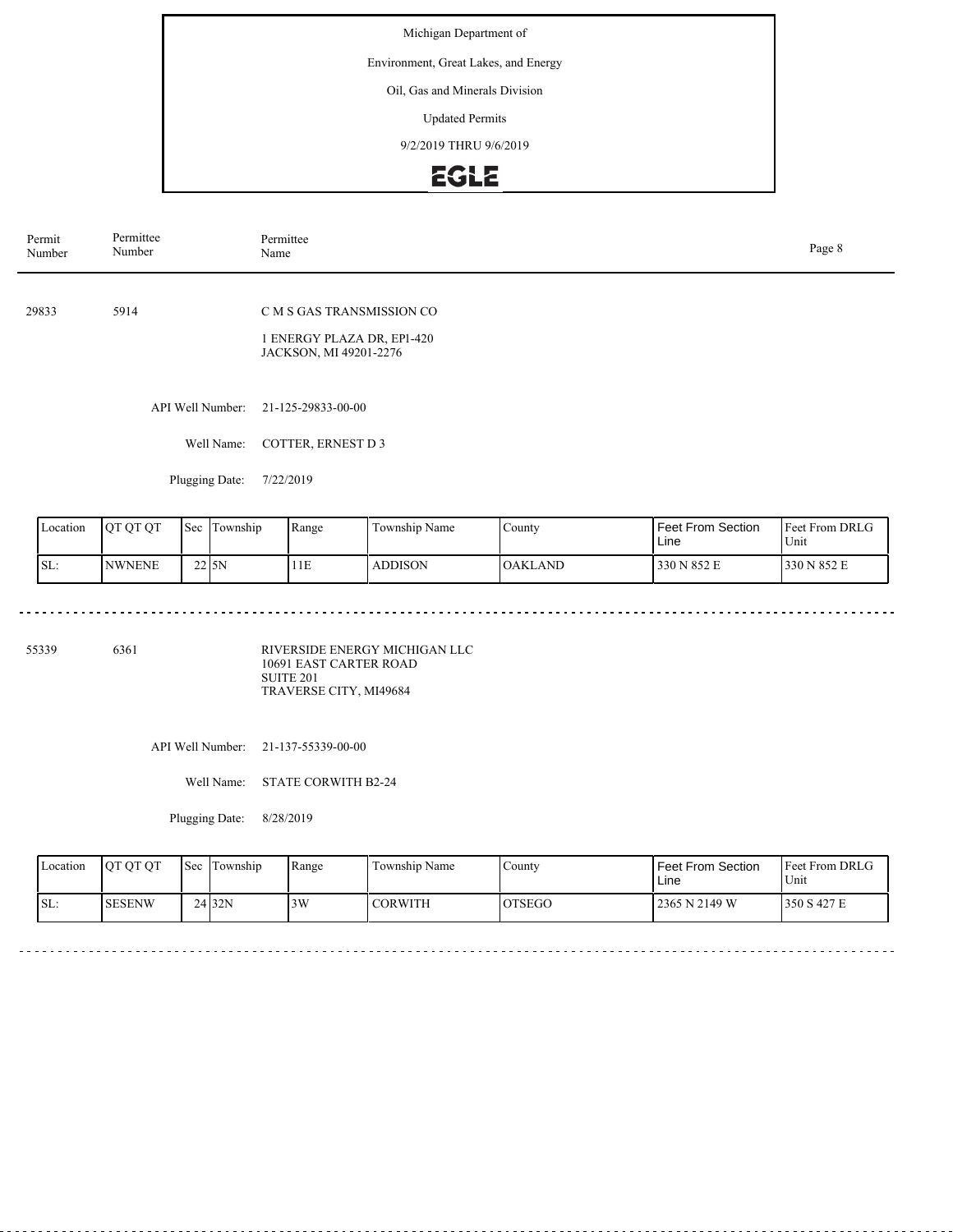Environment, Great Lakes, and Energy

Oil, Gas and Minerals Division

Updated Permits

9/2/2019 THRU 9/6/2019

# **EGLE**

| Permit<br>Number | Permittee<br>Number | Permittee<br>Name                                                                 | Page 8 |
|------------------|---------------------|-----------------------------------------------------------------------------------|--------|
| 29833            | 5914                | C M S GAS TRANSMISSION CO<br>1 ENERGY PLAZA DR, EP1-420<br>JACKSON, MI 49201-2276 |        |
|                  | API Well Number:    | 21-125-29833-00-00                                                                |        |
|                  | Well Name:          | <b>COTTER, ERNEST D3</b>                                                          |        |

Plugging Date: 7/22/2019

<u>. . . . . . . . .</u>

| Location | OT OT OT       | 'Sec    | . .<br>i Township | Range | $\mathbf{r}$<br>Township Name | County         | <b>Feet From Section</b><br>Line | <b>Feet From DRLG</b><br>Unit |
|----------|----------------|---------|-------------------|-------|-------------------------------|----------------|----------------------------------|-------------------------------|
| SL:      | <b>INWNENE</b> | $22$ SN |                   | 11E   | <b>ADDISON</b>                | <b>OAKLAND</b> | 330 N 852 E                      | 330 N 852 E                   |

 $\sim$   $\sim$   $\sim$ 

 $\sim$   $\sim$   $\sim$   $\sim$ 

 $\omega$  in  $\omega$  in

55339 6361

RIVERSIDE ENERGY MICHIGAN LLC 10691 EAST CARTER ROAD SUITE 201 TRAVERSE CITY, MI49684

API Well Number: 21-137-55339-00-00

Well Name: STATE CORWITH B2-24

Plugging Date: 8/28/2019

| Location | <b>OT OT OT</b> | <b>Sec</b> | Township          | Range | Township Name  | County        | <b>Feet From Section</b><br>∟ine | <b>Feet From DRLG</b><br>$U$ nit |
|----------|-----------------|------------|-------------------|-------|----------------|---------------|----------------------------------|----------------------------------|
| ISL:     | <b>SESENW</b>   |            | 24 <sub>32N</sub> | 3W    | <b>CORWITH</b> | <b>OTSEGO</b> | 2365 N 2149 W                    | 350 S 427 E                      |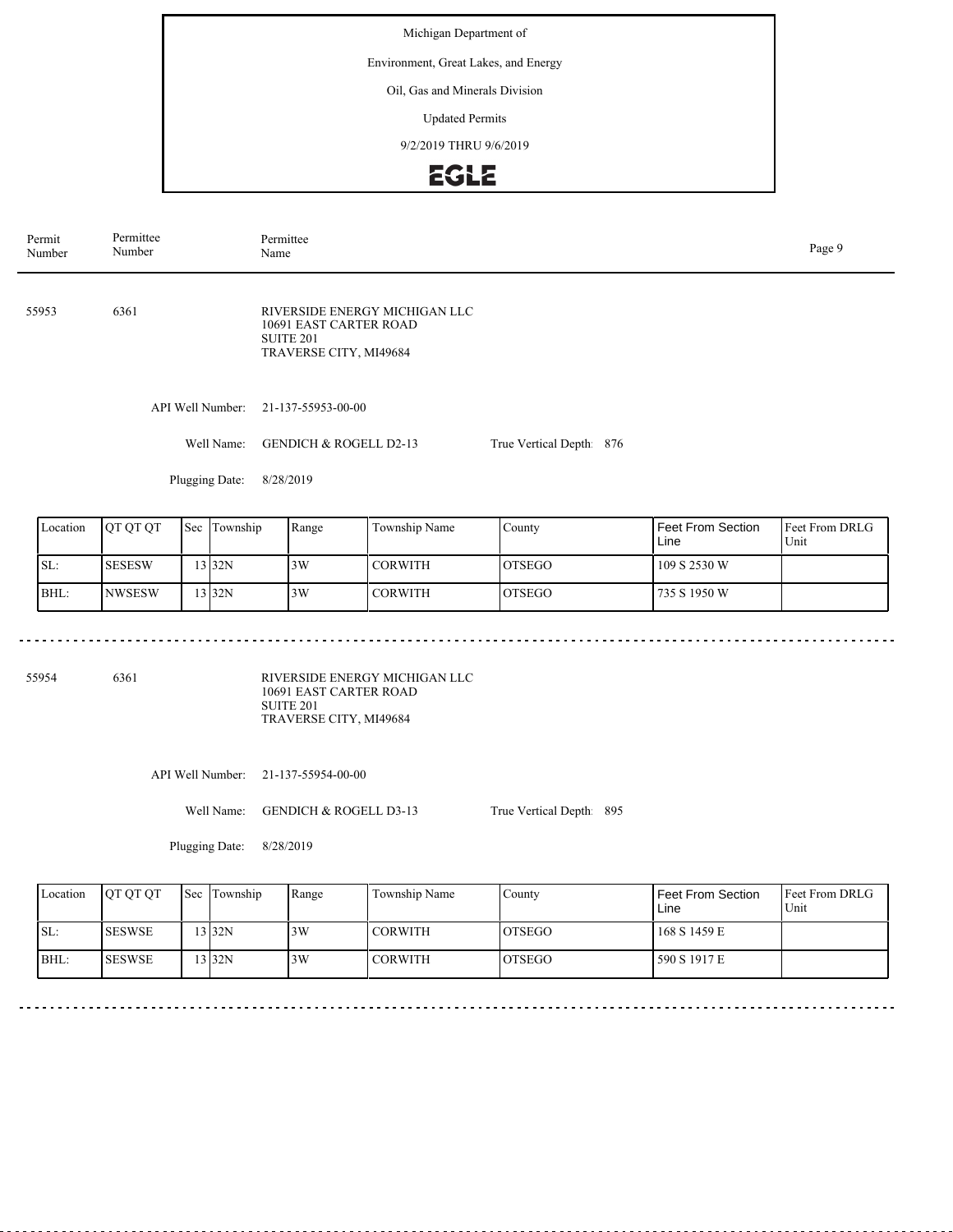#### Environment, Great Lakes, and Energy

#### Oil, Gas and Minerals Division

Updated Permits

9/2/2019 THRU 9/6/2019

# EGLE

| Permit<br>Number | Permittee<br>Number | Permittee<br>Page 9<br>Name                                                                               |                          |  |  |  |  |
|------------------|---------------------|-----------------------------------------------------------------------------------------------------------|--------------------------|--|--|--|--|
| 55953            | 6361                | RIVERSIDE ENERGY MICHIGAN LLC<br>10691 EAST CARTER ROAD<br>SUITE <sub>201</sub><br>TRAVERSE CITY, MI49684 |                          |  |  |  |  |
|                  | API Well Number:    | 21-137-55953-00-00                                                                                        |                          |  |  |  |  |
|                  | Well Name:          | <b>GENDICH &amp; ROGELL D2-13</b>                                                                         | True Vertical Depth: 876 |  |  |  |  |
|                  | Plugging Date:      | 8/28/2019                                                                                                 |                          |  |  |  |  |
|                  |                     |                                                                                                           |                          |  |  |  |  |

| Location | <b>IOT OT OT</b> | <b>Sec</b> Township | Range | Township Name | County         | l Feet From Section<br>Line | <b>IFeet From DRLG</b><br>Unit |
|----------|------------------|---------------------|-------|---------------|----------------|-----------------------------|--------------------------------|
| ISL:     | <b>SESESW</b>    | $3$ 32N             | 3W    | l CORWITH     | <b>IOTSEGO</b> | 109 S 2530 W                |                                |
| BHL:     | <b>NWSESW</b>    | $3$ 32N             | 3W    | I CORWITH     | <b>IOTSEGO</b> | 735 S 1950 W                |                                |

55954 6361

RIVERSIDE ENERGY MICHIGAN LLC 10691 EAST CARTER ROAD SUITE 201 TRAVERSE CITY, MI49684

API Well Number: 21-137-55954-00-00

Well Name: GENDICH & ROGELL D3-13

True Vertical Depth: 895

Plugging Date: 8/28/2019

| Location | <b>OT OT OT</b> | Sec Township | Range | Township Name  | County         | Feet From Section<br>Line | <b>Feet From DRLG</b><br>Unit |
|----------|-----------------|--------------|-------|----------------|----------------|---------------------------|-------------------------------|
| ISL:     | <b>ISESWSE</b>  | 13 32N       | 3W    | <b>CORWITH</b> | IOTSEGO        | 168 S 1459 E              |                               |
| BHL:     | <b>ISESWSE</b>  | 13 32N       | 3W    | <b>CORWITH</b> | <b>IOTSEGO</b> | 590 S 1917 E              |                               |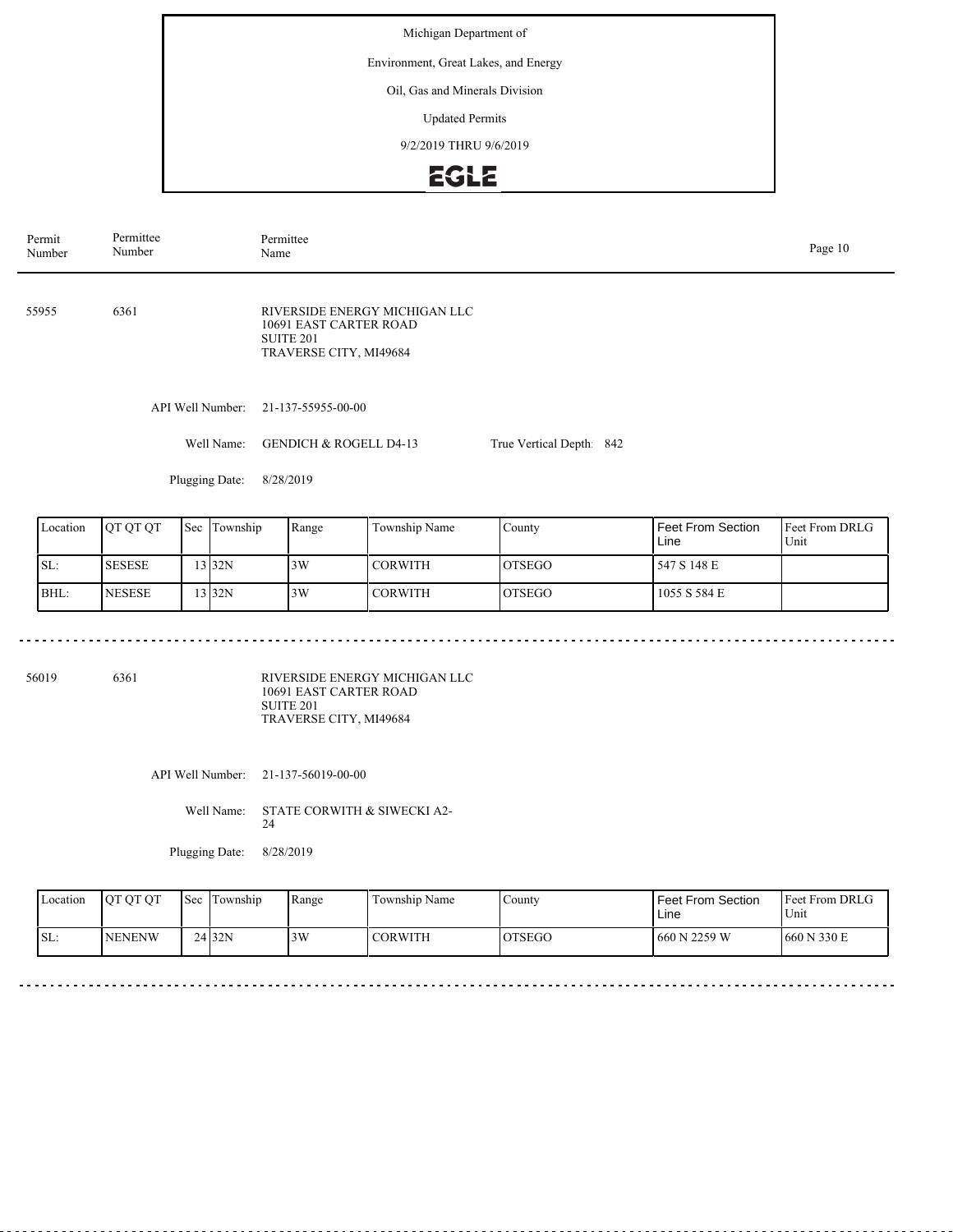#### Environment, Great Lakes, and Energy

#### Oil, Gas and Minerals Division

Updated Permits

9/2/2019 THRU 9/6/2019

### **EGLE**

| Permittee<br>Number | Page 10<br>Name                                                                                           |           |  |                         |  |  |  |
|---------------------|-----------------------------------------------------------------------------------------------------------|-----------|--|-------------------------|--|--|--|
| 6361                | RIVERSIDE ENERGY MICHIGAN LLC<br>10691 EAST CARTER ROAD<br>SUITE <sub>201</sub><br>TRAVERSE CITY, MI49684 |           |  |                         |  |  |  |
| API Well Number:    | 21-137-55955-00-00                                                                                        |           |  |                         |  |  |  |
| Well Name:          | <b>GENDICH &amp; ROGELL D4-13</b>                                                                         |           |  |                         |  |  |  |
| Plugging Date:      | 8/28/2019                                                                                                 |           |  |                         |  |  |  |
|                     |                                                                                                           | Permittee |  | True Vertical Depth 842 |  |  |  |

| Location | IOT OT OT     | Sec | Township          | Range | Township Name | County         | <b>Feet From Section</b><br>Line | <b>Feet From DRLG</b><br>Unit |
|----------|---------------|-----|-------------------|-------|---------------|----------------|----------------------------------|-------------------------------|
| SL:      | <b>SESESE</b> |     | 13 <sub>32N</sub> | 3W    | I CORWITH     | <b>IOTSEGO</b> | 547 S 148 E                      |                               |
| BHL:     | <b>NESESE</b> |     | $3$ 32N           | 3W    | CORWITH       | <b>IOTSEGO</b> | 1055 S 584 E                     |                               |

56019 6361

RIVERSIDE ENERGY MICHIGAN LLC 10691 EAST CARTER ROAD SUITE 201 TRAVERSE CITY, MI49684

API Well Number: 21-137-56019-00-00

Well Name: STATE CORWITH & SIWECKI A2-24

Plugging Date: 8/28/2019

| Location | <b>OT OT OT</b> | <b>Sec</b> | Township | Range | Township Name  | County         | Feet From Section<br>Line | <b>Feet From DRLG</b><br>Unit |
|----------|-----------------|------------|----------|-------|----------------|----------------|---------------------------|-------------------------------|
| SL:      | <b>INENENW</b>  |            | 24 32N   | 3W    | <b>CORWITH</b> | <b>IOTSEGO</b> | 660 N 2259 W              | 660 N 330 E                   |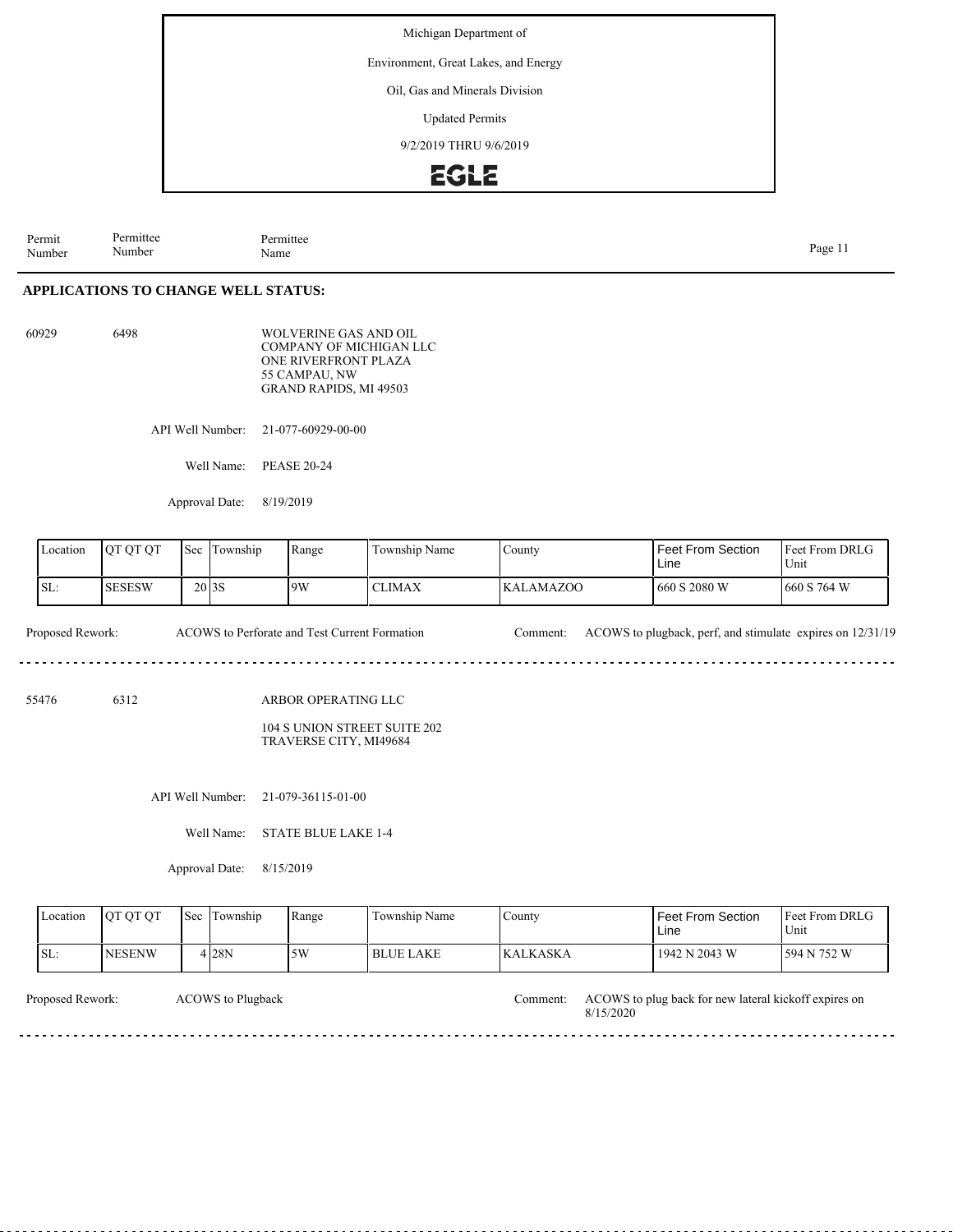Environment, Great Lakes, and Energy

Oil, Gas and Minerals Division

Updated Permits

9/2/2019 THRU 9/6/2019

### **EGLE**

Permit Number Permittee Number Permittee<br>Name Page 11<br>Name Page 11

#### **APPLICATIONS TO CHANGE WELL STATUS:**

| 60929 | 6498 | WOLVERINE GAS AND OIL   |
|-------|------|-------------------------|
|       |      | COMPANY OF MICHIGAN LLC |
|       |      | ONE RIVERFRONT PLAZA    |
|       |      | 55 CAMPAU. NW           |
|       |      | GRAND RAPIDS, MI 49503  |

API Well Number: 21-077-60929-00-00

Well Name: PEASE 20-24

Approval Date: 8/19/2019

| Location | <b>OT OT OT</b> | $\mathsf{I}\mathsf{Sec}$ | Township | Range | Township Name | County           | l Feet From Section<br>Line | Feet From DRLG<br>Unit |  |
|----------|-----------------|--------------------------|----------|-------|---------------|------------------|-----------------------------|------------------------|--|
| SL:      | <b>SESESW</b>   | 20 <sub>13</sub> S       |          | 9W    | <b>CLIMAX</b> | <b>KALAMAZOO</b> | 660 S 2080 W                | 660 S 764 W            |  |

Proposed Rework: ACOWS to Perforate and Test Current Formation Comment: ACOWS to plugback, perf, and stimulate expires on 12/31/19  $\sim$   $\sim$   $\sim$   $\sim$ 

55476 6312

ARBOR OPERATING LLC

104 S UNION STREET SUITE 202 TRAVERSE CITY, MI49684

API Well Number: 21-079-36115-01-00

Well Name: STATE BLUE LAKE 1-4

Approval Date: 8/15/2019

| 4 28N<br>ISL:<br>5W<br>594 N 752 W<br><b>NESENW</b><br>1942 N 2043 W<br><b>BLUE LAKE</b><br><b>IKALKASKA</b> | Location | <b>OT OT OT</b> | Sec | Township | Range | Township Name | County | Feet From Section<br>Line | Feet From DRLG<br>Unit |  |
|--------------------------------------------------------------------------------------------------------------|----------|-----------------|-----|----------|-------|---------------|--------|---------------------------|------------------------|--|
|                                                                                                              |          |                 |     |          |       |               |        |                           |                        |  |

dia dia dia dia

ACOWS to Plugback

Proposed Rework: ACOWS to Plugback and Muslim and Muslim and Muslim and Muslim and Muslim and Muslim and Muslim and Muslim and Muslim and Muslim and Muslim and Muslim and Muslim and Muslim and Muslim and Muslim and Muslim 8/15/2020

. . . . . . . . . . . . . . . .

 $- - - - - -$ 

dia dia dia 40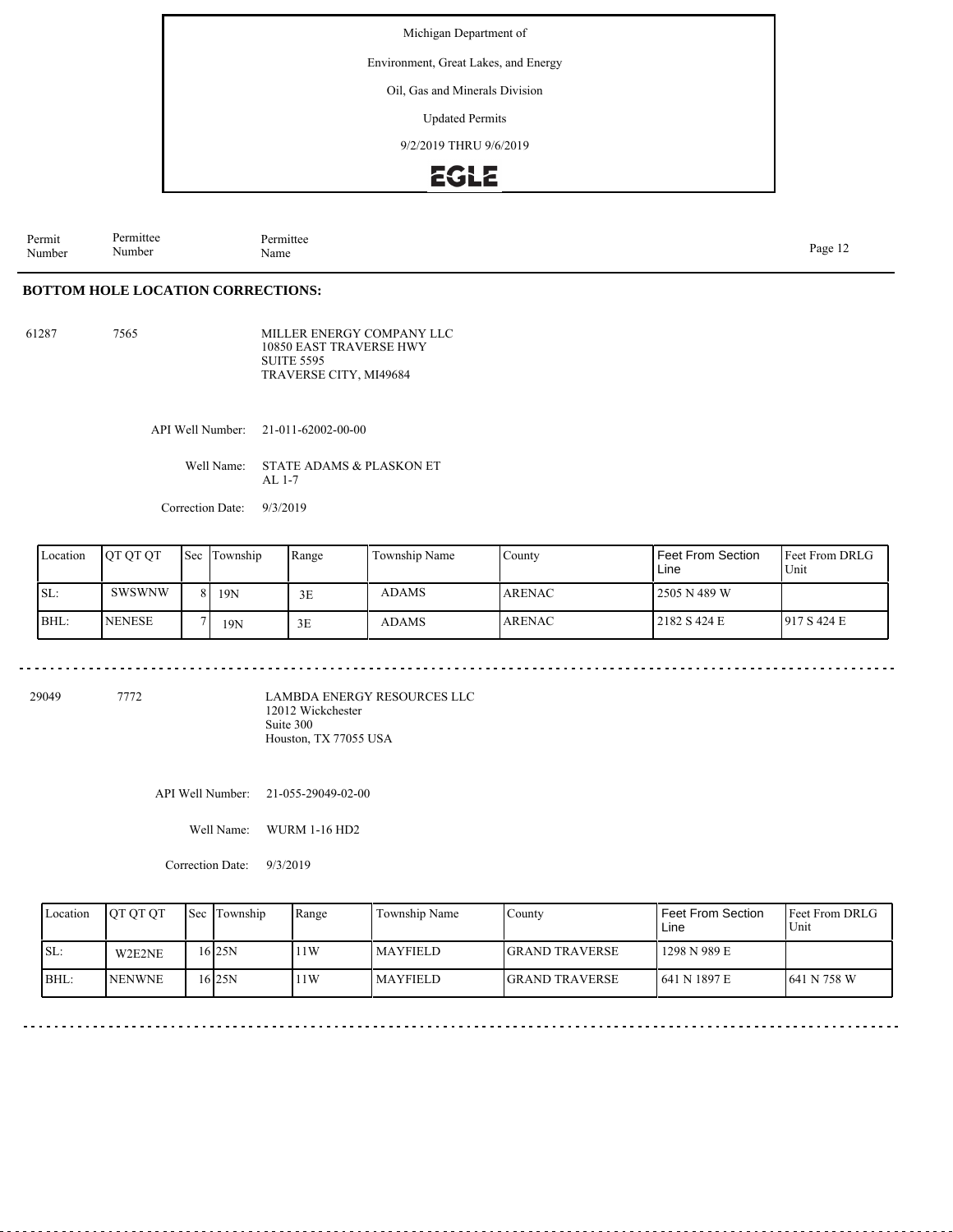Environment, Great Lakes, and Energy

Oil, Gas and Minerals Division

Updated Permits

9/2/2019 THRU 9/6/2019

### EGLE

Permit Number Permittee Number Permittee<br>Name Page 12<br>Name Page 12

. . . . . . . . . . . . . .

 $- - - - - - - -$ 

#### **BOTTOM HOLE LOCATION CORRECTIONS:**

61287 7565

MILLER ENERGY COMPANY LLC 10850 EAST TRAVERSE HWY SUITE 5595 TRAVERSE CITY, MI49684

API Well Number: 21-011-62002-00-00

Well Name: STATE ADAMS & PLASKON ET AL 1-7

<u>. . . . . . . . . . . .</u>

Correction Date: 9/3/2019

| Location | <b>IOT OT OT</b> | <b>Sec Township</b> | Range | Township Name | County         | <b>Feet From Section</b><br>Line | <b>Feet From DRLG</b><br>Unit |
|----------|------------------|---------------------|-------|---------------|----------------|----------------------------------|-------------------------------|
| SL:      | SWSWNW           | 19N                 | 3E    | ADAMS         | <b>LARENAC</b> | 2505 N 489 W                     |                               |
| BHL:     | <b>NENESE</b>    | 19N                 | 3E    | <b>ADAMS</b>  | <b>LARENAC</b> | 2182 S 424 E                     | 1917S424E                     |

29049 7772

LAMBDA ENERGY RESOURCES LLC 12012 Wickchester Suite 300 Houston, TX 77055 USA

API Well Number: 21-055-29049-02-00

Well Name: WURM 1-16 HD2

Correction Date: 9/3/2019

| Location | <b>OT OT OT</b> | <b>Sec</b> Township | Range | Township Name | County                 | <b>Feet From Section</b><br>Line | <b>IFeet From DRLG</b><br>Unit |
|----------|-----------------|---------------------|-------|---------------|------------------------|----------------------------------|--------------------------------|
| SL:      | W2E2NE          | 16 25 N             | 1W    | l MAYFIELD-   | <b>IGRAND TRAVERSE</b> | 1298 N 989 E                     |                                |
| BHL:     | <b>INENWNE</b>  | 16 25 N             | 1W    | l MAYFIELD-   | <b>IGRAND TRAVERSE</b> | 1641 N 1897 E                    | 1641 N 758 W                   |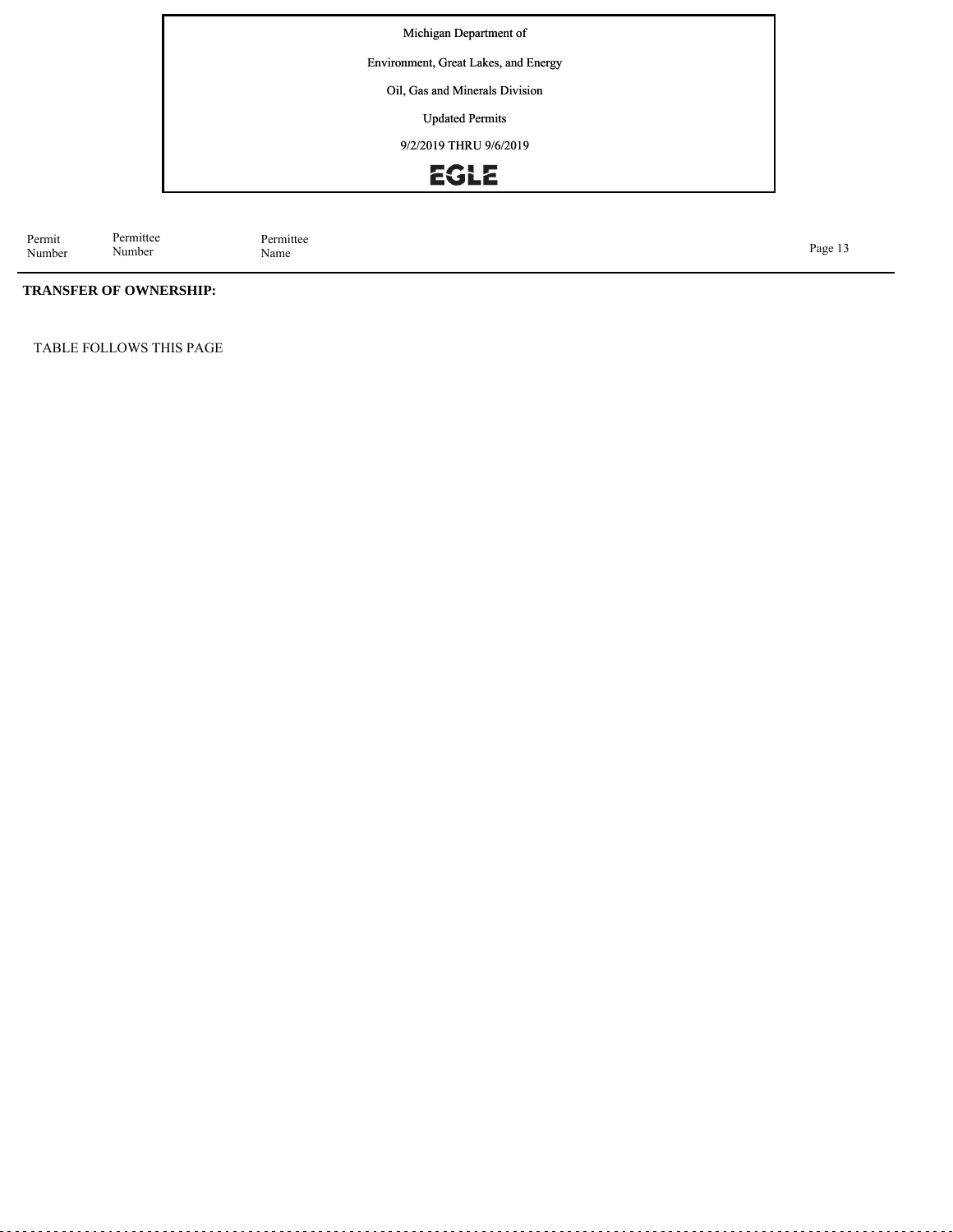Environment, Great Lakes, and Energy Energy

Oil, Gas and Minerals Division

Updated Permits

9/2/2019 THRU 9/6/2019

# EGLE

Permit Number Permittee Number

Permittee<br>Name Page 13<br>Name Page 13

### **TRANSFER OF OWNERSHIP:**

TABLE FOLLOWS THIS PAGE